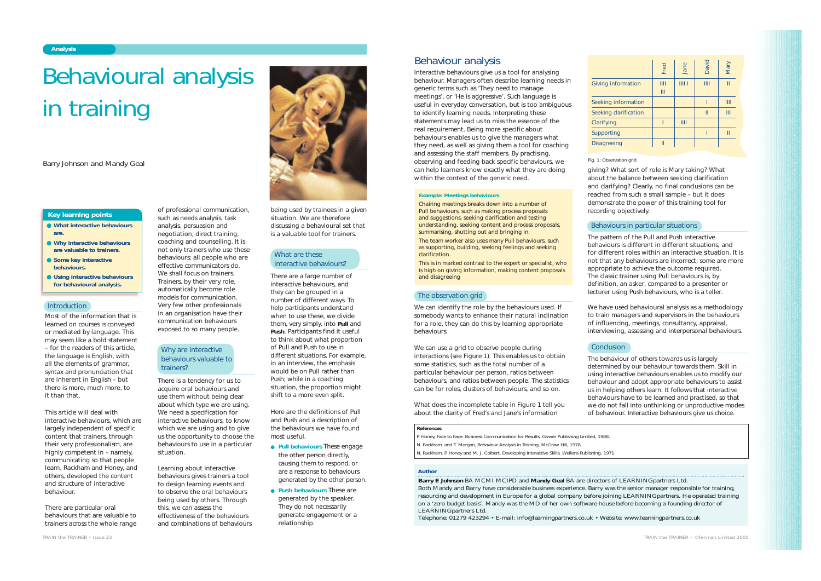Most of the information that is learned on courses is conveyed or mediated by language. This may seem like a bold statement – for the readers of this article, the language is English, with all the elements of grammar, syntax and pronunciation that are inherent in English – but there is more, much more, to it than that.

This article will deal with interactive behaviours, which are largely independent of specific content that trainers, through their very professionalism, are highly competent in – namely, communicating so that people learn. Rackham and Honey, and others, developed the content and structure of interactive behaviour.

There are particular oral behaviours that are valuable to trainers across the whole range of professional communication,

such as needs analysis, task analysis, persuasion and negotiation, direct training, coaching and counselling. It is not only trainers who use these behaviours; all people who are effective communicators do. We shall focus on trainers. Trainers, by their very role, automatically become role models for communication. Very few other professionals in an organisation have their communication behaviours

exposed to so many people.

There is a tendency for us to acquire oral behaviours and use them without being clear about which type we are using. We need a specification for interactive behaviours, to know which we are using and to give us the opportunity to choose the behaviours to use in a particular situation.

Learning about interactive behaviours gives trainers a tool to design learning events and to observe the oral behaviours being used by others. Through this, we can assess the effectiveness of the behaviours and combinations of behaviours being used by trainees in a given situation. We are therefore

discussing a behavioural set that is a valuable tool for trainers.

There are a large number of interactive behaviours, and they can be grouped in a number of different ways. To help participants understand when to use these, we divide them, very simply, into **Pull** and **Push**. Participants find it useful to think about what proportion of Pull and Push to use in different situations. For example, in an interview, the emphasis would be on Pull rather than Push; while in a coaching situation, the proportion might shift to a more even split.

We can identify the role by the behaviours used. If somebody wants to enhance their natural inclination for a role, they can do this by learning appropriate behaviours.

We can use a grid to observe people during interactions (see Figure 1). This enables us to obtain some statistics, such as the total number of a particular behaviour per person, ratios between behaviours, and ratios between people. The statistics can be for roles, clusters of behaviours, and so on.

Here are the definitions of Pull and Push and a description of the behaviours we have found most useful.

- **Pull behaviours** These engage the other person directly, causing them to respond, or are a response to behaviours generated by the other person.
- **Push behaviours** These are generated by the speaker. They do not necessarily generate engagement or a relationship.

*TRAIN the TRAINER • Issue 23*

- **What interactive behaviours are.**
- **Why interactive behaviours are valuable to trainers.**
- **Some key interactive behaviours.**
- **Using interactive behaviours for behavioural analysis.**

#### **Introduction**

### **Key learning points**

# *Author*

**Barry E Johnson** BA MCMI MCIPD and **Mandy Geal** BA are directors of LEARNING*partners* Ltd. Both Mandy and Barry have considerable business experience. Barry was the senior manager responsible for training, resourcing and development in Europe for a global company before joining LEARNING*partners*. He operated training on a 'zero budget basis'. Mandy was the MD of her own software house before becoming a founding director of LEARNING*partners* Ltd.

# Why are interactive behaviours valuable to trainers?

# What are these interactive behaviours?

Telephone: 01279 423294 • E-mail: info@learningpartners.co.uk • Website: www.learningpartners.co.uk

# Behavioural analysis in training

*Barry Johnson and Mandy Geal*

# Behaviour analysis

Interactive behaviours give us a tool for analysing behaviour. Managers often describe learning needs in generic terms such as 'They need to manage meetings', or 'He is aggressive'. Such language is useful in everyday conversation, but is too ambiguous to identify learning needs. Interpreting these statements may lead us to miss the essence of the real requirement. Being more specific about behaviours enables us to give the managers what they need, as well as giving them a tool for coaching and assessing the staff members. By practising, observing and feeding back specific behaviours, we can help learners know exactly what they are doing within the context of the generic need.

What does the incomplete table in Figure 1 tell you about the clarity of Fred's and Jane's information

giving? What sort of role is Mary taking? What about the balance between seeking clarification and clarifying? Clearly, no final conclusions can be reached from such a small sample – but it does demonstrate the power of this training tool for recording objectively.

# **Conclusion**

The pattern of the Pull and Push interactive behaviours is different in different situations, and for different roles within an interactive situation. It is not that any behaviours are incorrect; some are more appropriate to achieve the outcome required. The classic trainer using Pull behaviours is, by definition, an *asker*, compared to a presenter or lecturer using Push behaviours, who is a *teller*.

We have used behavioural analysis as a methodology to train managers and supervisors in the behaviours of influencing, meetings, consultancy, appraisal, interviewing, assessing and interpersonal behaviours.

The behaviour of others towards us is largely determined by our behaviour towards them. Skill in using interactive behaviours enables us to modify our behaviour and adopt appropriate behaviours to assist us in helping others learn. It follows that interactive behaviours have to be learned and practised, so that we do not fall into unthinking or unproductive modes of behaviour. Interactive behaviours give us choice.

## **References**

P. Honey, *Face to Face: Business Communication for Results*, Gower Publishing Limited, 1988. N. Rackham, and T. Morgan, *Behaviour Analysis in Training*, McGraw Hill, 1978.

N. Rackham, P. Honey and M. J. Colbert, *Developing Interactive Skills*, Wellens Publishing, 1971.

Fig. 1: Observation grid

#### **Example: Meetings behaviours**

*Chairing* meetings breaks down into a number of Pull behaviours, such as making process proposals and suggestions, seeking clarification and testing understanding, seeking content and process proposals, summarising, shutting out and bringing in.

The *team worker* also uses many Pull behaviours, such as supporting, building, seeking feelings and seeking clarification.

This is in marked contrast to the *expert* or *specialist*, who is high on giving information, making content proposals and disagreeing

## The observation grid

# Behaviours in particular situations

|                       | Fred   | Jane | David         | <b>Mary</b> |
|-----------------------|--------|------|---------------|-------------|
| Giving information    | Ш<br>Ш | III1 | III           | Ш           |
| Seeking information   |        |      |               | Ш           |
| Seeking clarification |        |      | $\mathbf{II}$ | Ш           |
| Clarifying            |        | III  |               |             |
| Supporting            |        |      |               | П           |
| <b>Disagreeing</b>    | П      |      |               |             |